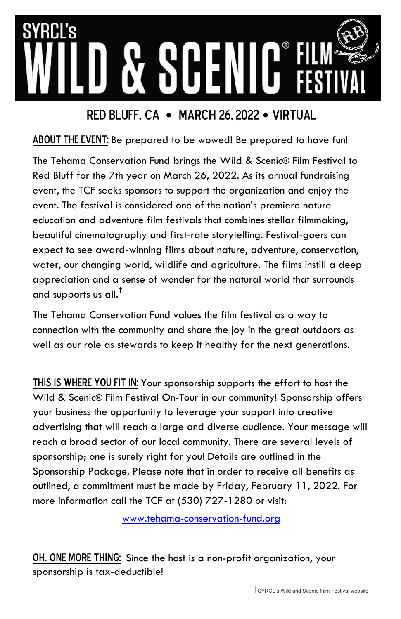# RN's

### Red Bluff, ca • March 26, 2022 • Virtual

#### ABOUT THE EVENT: Be prepared to be wowed! Be prepared to have fun!

The Tehama Conservation Fund brings the Wild & Scenic® Film Festival to Red Bluff for the 7th year on March 26, 2022. As its annual fundraising event, the TCF seeks sponsors to support the organization and enjoy the event. The festival is considered one of the nation's premiere nature education and adventure film festivals that combines stellar filmmaking, beautiful cinematography and first-rate storytelling. Festival-goers can expect to see award-winning films about nature, adventure, conservation, water, our changing world, wildlife and agriculture. The films instill a deep appreciation and a sense of wonder for the natural world that surrounds and supports us all.†

The Tehama Conservation Fund values the film festival as a way to connection with the community and share the joy in the great outdoors as well as our role as stewards to keep it healthy for the next generations.

THIS IS WHERE YOU FIT IN: Your sponsorship supports the effort to host the Wild & Scenic® Film Festival On-Tour in our community! Sponsorship offers your business the opportunity to leverage your support into creative advertising that will reach a large and diverse audience. Your message will reach a broad sector of our local community. There are several levels of sponsorship; one is surely right for you! Details are outlined in the Sponsorship Package. Please note that in order to receive all benefits as outlined, a commitment must be made by Friday, February 11, 2022. For more information call the TCF at (530) 727-1280 or visit:

www.tehama-conservation-fund.org

OH, ONE MORE THING: Since the host is a non-profit organization, your sponsorship is tax-deductible!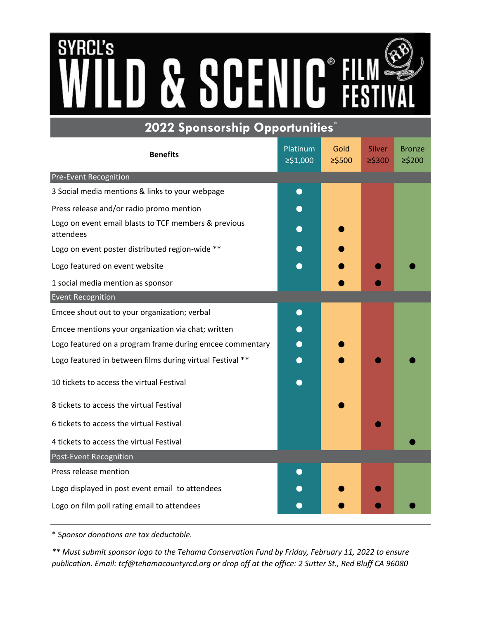# **SYRCL's SC**  $\mathbf{C}^*$ Q **2022 Sponsorship Opportunities\***

| $\sim$ $\sim$ $\sim$ $\sim$ $\sim$ $\sim$ $\sim$<br>- - -<br><b>Benefits</b> | Platinum<br>≥\$1,000 | Gold<br>$≥$ \$500 | Silver<br>$≥$ \$300 | <b>Bronze</b><br>≥\$200 |
|------------------------------------------------------------------------------|----------------------|-------------------|---------------------|-------------------------|
| Pre-Event Recognition                                                        |                      |                   |                     |                         |
| 3 Social media mentions & links to your webpage                              | $\bullet$            |                   |                     |                         |
| Press release and/or radio promo mention                                     | $\bullet$            |                   |                     |                         |
| Logo on event email blasts to TCF members & previous<br>attendees            | $\bullet$            |                   |                     |                         |
| Logo on event poster distributed region-wide **                              |                      |                   |                     |                         |
| Logo featured on event website                                               |                      |                   |                     |                         |
| 1 social media mention as sponsor                                            |                      |                   |                     |                         |
| <b>Event Recognition</b>                                                     |                      |                   |                     |                         |
| Emcee shout out to your organization; verbal                                 | $\bullet$            |                   |                     |                         |
| Emcee mentions your organization via chat; written                           |                      |                   |                     |                         |
| Logo featured on a program frame during emcee commentary                     |                      |                   |                     |                         |
| Logo featured in between films during virtual Festival **                    |                      |                   |                     |                         |
| 10 tickets to access the virtual Festival                                    |                      |                   |                     |                         |
| 8 tickets to access the virtual Festival                                     |                      |                   |                     |                         |
| 6 tickets to access the virtual Festival                                     |                      |                   |                     |                         |
| 4 tickets to access the virtual Festival                                     |                      |                   |                     |                         |
| Post-Event Recognition                                                       |                      |                   |                     |                         |
| Press release mention                                                        | $\bigodot$           |                   |                     |                         |
| Logo displayed in post event email to attendees                              |                      |                   |                     |                         |
| Logo on film poll rating email to attendees                                  |                      |                   |                     |                         |

\* S*ponsor donations are tax deductable.*

*\*\* Must submit sponsor logo to the Tehama Conservation Fund by Friday, February 11, 2022 to ensure publication. Email: tcf@tehamacountyrcd.org or drop off at the office: 2 Sutter St., Red Bluff CA 96080*